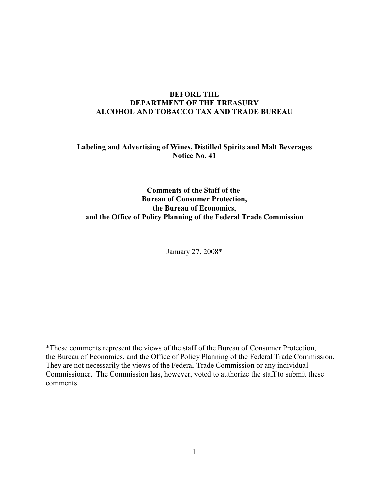# **BEFORE THE DEPARTMENT OF THE TREASURY ALCOHOL AND TOBACCO TAX AND TRADE BUREAU**

# **Labeling and Advertising of Wines, Distilled Spirits and Malt Beverages Notice No. 41**

# **Comments of the Staff of the Bureau of Consumer Protection, the Bureau of Economics, and the Office of Policy Planning of the Federal Trade Commission**

January 27, 2008\*

 $\mathcal{L}_\mathcal{L}$  , which is a set of the set of the set of the set of the set of the set of the set of the set of the set of the set of the set of the set of the set of the set of the set of the set of the set of the set of

<sup>\*</sup>These comments represent the views of the staff of the Bureau of Consumer Protection, the Bureau of Economics, and the Office of Policy Planning of the Federal Trade Commission. They are not necessarily the views of the Federal Trade Commission or any individual Commissioner. The Commission has, however, voted to authorize the staff to submit these comments.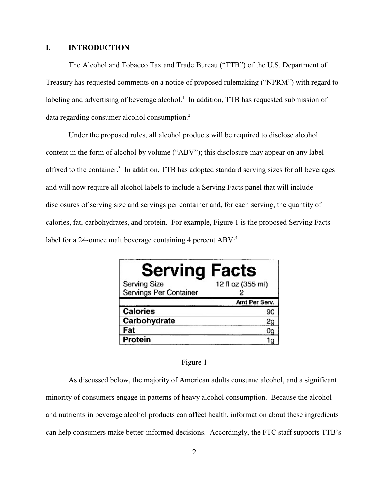### **I. INTRODUCTION**

The Alcohol and Tobacco Tax and Trade Bureau ("TTB") of the U.S. Department of Treasury has requested comments on a notice of proposed rulemaking ("NPRM") with regard to labeling and advertising of beverage alcohol.<sup>1</sup> In addition, TTB has requested submission of data regarding consumer alcohol consumption.<sup>2</sup>

Under the proposed rules, all alcohol products will be required to disclose alcohol content in the form of alcohol by volume ("ABV"); this disclosure may appear on any label affixed to the container.<sup>3</sup> In addition, TTB has adopted standard serving sizes for all beverages and will now require all alcohol labels to include a Serving Facts panel that will include disclosures of serving size and servings per container and, for each serving, the quantity of calories, fat, carbohydrates, and protein. For example, Figure 1 is the proposed Serving Facts label for a 24-ounce malt beverage containing 4 percent ABV:<sup>4</sup>

| <b>Serving Facts</b>   |                   |
|------------------------|-------------------|
| Serving Size           | 12 fl oz (355 ml) |
| Servings Per Container |                   |
|                        | Amt Per Serv.     |
| Calories               |                   |
| Carbohydrate           |                   |
| Fat                    |                   |
| <b>Protein</b>         |                   |

### Figure 1

As discussed below, the majority of American adults consume alcohol, and a significant minority of consumers engage in patterns of heavy alcohol consumption. Because the alcohol and nutrients in beverage alcohol products can affect health, information about these ingredients can help consumers make better-informed decisions. Accordingly, the FTC staff supports TTB's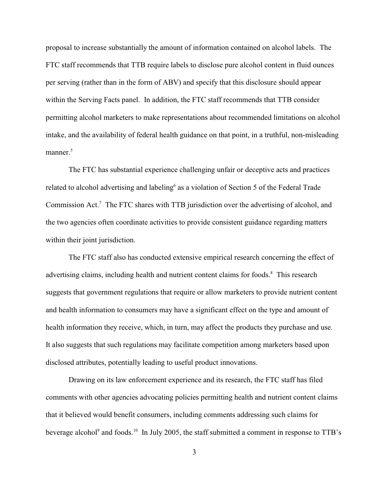proposal to increase substantially the amount of information contained on alcohol labels. The FTC staff recommends that TTB require labels to disclose pure alcohol content in fluid ounces per serving (rather than in the form of ABV) and specify that this disclosure should appear within the Serving Facts panel. In addition, the FTC staff recommends that TTB consider permitting alcohol marketers to make representations about recommended limitations on alcohol intake, and the availability of federal health guidance on that point, in a truthful, non-misleading manner.<sup>5</sup>

The FTC has substantial experience challenging unfair or deceptive acts and practices related to alcohol advertising and labeling<sup> $6$ </sup> as a violation of Section 5 of the Federal Trade Commission Act.<sup>7</sup> The FTC shares with TTB jurisdiction over the advertising of alcohol, and the two agencies often coordinate activities to provide consistent guidance regarding matters within their joint jurisdiction.

The FTC staff also has conducted extensive empirical research concerning the effect of advertising claims, including health and nutrient content claims for foods.<sup>8</sup> This research suggests that government regulations that require or allow marketers to provide nutrient content and health information to consumers may have a significant effect on the type and amount of health information they receive, which, in turn, may affect the products they purchase and use. It also suggests that such regulations may facilitate competition among marketers based upon disclosed attributes, potentially leading to useful product innovations.

Drawing on its law enforcement experience and its research, the FTC staff has filed comments with other agencies advocating policies permitting health and nutrient content claims that it believed would benefit consumers, including comments addressing such claims for beverage alcohol<sup>9</sup> and foods.<sup>10</sup> In July 2005, the staff submitted a comment in response to TTB's

3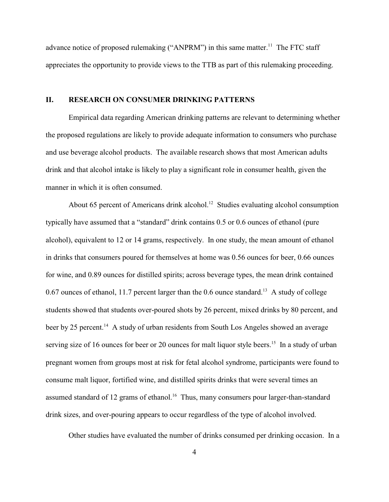advance notice of proposed rulemaking ("ANPRM") in this same matter.<sup>11</sup> The FTC staff appreciates the opportunity to provide views to the TTB as part of this rulemaking proceeding.

## **II. RESEARCH ON CONSUMER DRINKING PATTERNS**

Empirical data regarding American drinking patterns are relevant to determining whether the proposed regulations are likely to provide adequate information to consumers who purchase and use beverage alcohol products. The available research shows that most American adults drink and that alcohol intake is likely to play a significant role in consumer health, given the manner in which it is often consumed.

About 65 percent of Americans drink alcohol.<sup>12</sup> Studies evaluating alcohol consumption typically have assumed that a "standard" drink contains 0.5 or 0.6 ounces of ethanol (pure alcohol), equivalent to 12 or 14 grams, respectively. In one study, the mean amount of ethanol in drinks that consumers poured for themselves at home was 0.56 ounces for beer, 0.66 ounces for wine, and 0.89 ounces for distilled spirits; across beverage types, the mean drink contained 0.67 ounces of ethanol, 11.7 percent larger than the 0.6 ounce standard.<sup>13</sup> A study of college students showed that students over-poured shots by 26 percent, mixed drinks by 80 percent, and beer by 25 percent.<sup>14</sup> A study of urban residents from South Los Angeles showed an average serving size of 16 ounces for beer or 20 ounces for malt liquor style beers.<sup>15</sup> In a study of urban pregnant women from groups most at risk for fetal alcohol syndrome, participants were found to consume malt liquor, fortified wine, and distilled spirits drinks that were several times an assumed standard of 12 grams of ethanol.<sup>16</sup> Thus, many consumers pour larger-than-standard drink sizes, and over-pouring appears to occur regardless of the type of alcohol involved.

Other studies have evaluated the number of drinks consumed per drinking occasion. In a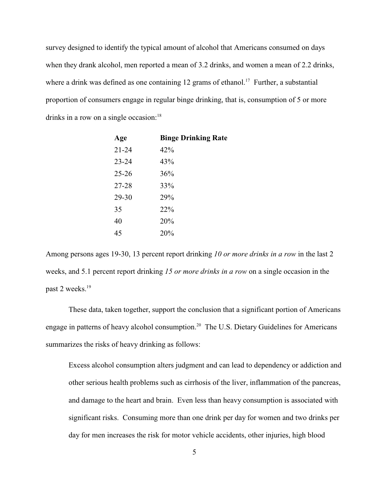survey designed to identify the typical amount of alcohol that Americans consumed on days when they drank alcohol, men reported a mean of 3.2 drinks, and women a mean of 2.2 drinks, where a drink was defined as one containing 12 grams of ethanol.<sup>17</sup> Further, a substantial proportion of consumers engage in regular binge drinking, that is, consumption of 5 or more drinks in a row on a single occasion:<sup>18</sup>

| Age       | <b>Binge Drinking Rate</b> |
|-----------|----------------------------|
| $21 - 24$ | 42%                        |
| $23 - 24$ | 43%                        |
| $25 - 26$ | 36%                        |
| 27-28     | 33%                        |
| 29-30     | 29%                        |
| 35        | 22%                        |
| 40        | 20%                        |
| 45        | 20%                        |

Among persons ages 19-30, 13 percent report drinking *10 or more drinks in a row* in the last 2 weeks, and 5.1 percent report drinking *15 or more drinks in a row* on a single occasion in the past 2 weeks.<sup>19</sup>

These data, taken together, support the conclusion that a significant portion of Americans engage in patterns of heavy alcohol consumption.<sup>20</sup> The U.S. Dietary Guidelines for Americans summarizes the risks of heavy drinking as follows:

Excess alcohol consumption alters judgment and can lead to dependency or addiction and other serious health problems such as cirrhosis of the liver, inflammation of the pancreas, and damage to the heart and brain. Even less than heavy consumption is associated with significant risks. Consuming more than one drink per day for women and two drinks per day for men increases the risk for motor vehicle accidents, other injuries, high blood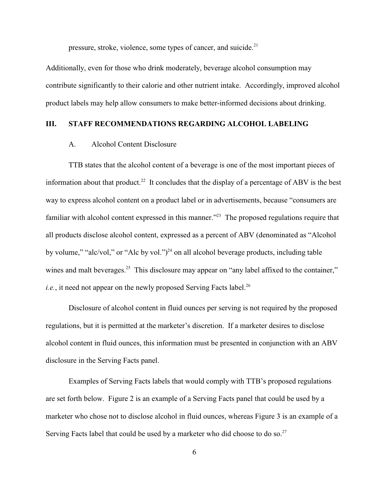pressure, stroke, violence, some types of cancer, and suicide.<sup>21</sup>

Additionally, even for those who drink moderately, beverage alcohol consumption may contribute significantly to their calorie and other nutrient intake. Accordingly, improved alcohol product labels may help allow consumers to make better-informed decisions about drinking.

## **III. STAFF RECOMMENDATIONS REGARDING ALCOHOL LABELING**

#### A. Alcohol Content Disclosure

TTB states that the alcohol content of a beverage is one of the most important pieces of information about that product.<sup>22</sup> It concludes that the display of a percentage of ABV is the best way to express alcohol content on a product label or in advertisements, because "consumers are familiar with alcohol content expressed in this manner."<sup> $23$ </sup> The proposed regulations require that all products disclose alcohol content, expressed as a percent of ABV (denominated as "Alcohol by volume," "alc/vol," or "Alc by vol." $)^{24}$  on all alcohol beverage products, including table wines and malt beverages.<sup>25</sup> This disclosure may appear on "any label affixed to the container," *i.e.*, it need not appear on the newly proposed Serving Facts label.<sup>26</sup>

Disclosure of alcohol content in fluid ounces per serving is not required by the proposed regulations, but it is permitted at the marketer's discretion. If a marketer desires to disclose alcohol content in fluid ounces, this information must be presented in conjunction with an ABV disclosure in the Serving Facts panel.

Examples of Serving Facts labels that would comply with TTB's proposed regulations are set forth below. Figure 2 is an example of a Serving Facts panel that could be used by a marketer who chose not to disclose alcohol in fluid ounces, whereas Figure 3 is an example of a Serving Facts label that could be used by a marketer who did choose to do so.<sup>27</sup>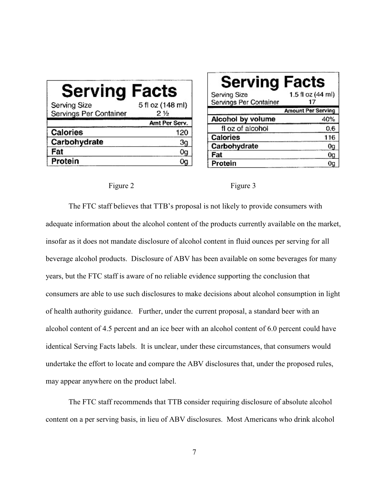| <b>Serving Facts</b>   |                  |
|------------------------|------------------|
| Serving Size           | 5 fl oz (148 ml) |
| Servings Per Container | 2 ½              |
|                        | Amt Per Serv.    |
| Calories               | 120              |
| Carbohydrate           |                  |
| Fat                    |                  |
|                        |                  |

| <b>Serving Facts</b>   |                           |
|------------------------|---------------------------|
| Serving Size           | 1.5 fl oz (44 ml)         |
| Servings Per Container | 17                        |
|                        | <b>Amount Per Serving</b> |
| Alcohol by volume      | 40%                       |
| fl oz of alcohol       | 0.6                       |
| Calories               | 116                       |
| Carbohydrate           | 0g                        |
| Fat                    | 0g                        |
| Protein                |                           |

#### Figure 2 Figure 3

The FTC staff believes that TTB's proposal is not likely to provide consumers with adequate information about the alcohol content of the products currently available on the market, insofar as it does not mandate disclosure of alcohol content in fluid ounces per serving for all beverage alcohol products. Disclosure of ABV has been available on some beverages for many years, but the FTC staff is aware of no reliable evidence supporting the conclusion that consumers are able to use such disclosures to make decisions about alcohol consumption in light of health authority guidance. Further, under the current proposal, a standard beer with an alcohol content of 4.5 percent and an ice beer with an alcohol content of 6.0 percent could have identical Serving Facts labels. It is unclear, under these circumstances, that consumers would undertake the effort to locate and compare the ABV disclosures that, under the proposed rules, may appear anywhere on the product label.

The FTC staff recommends that TTB consider requiring disclosure of absolute alcohol content on a per serving basis, in lieu of ABV disclosures. Most Americans who drink alcohol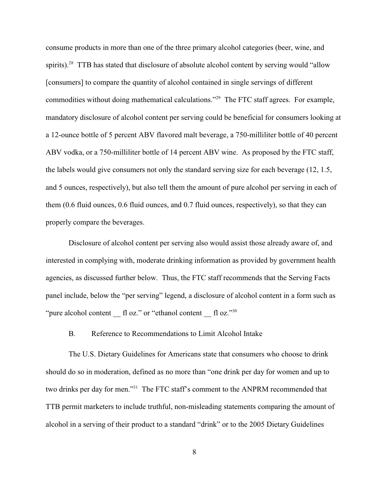consume products in more than one of the three primary alcohol categories (beer, wine, and spirits).<sup>28</sup> TTB has stated that disclosure of absolute alcohol content by serving would "allow" [consumers] to compare the quantity of alcohol contained in single servings of different commodities without doing mathematical calculations."<sup>29</sup> The FTC staff agrees. For example, mandatory disclosure of alcohol content per serving could be beneficial for consumers looking at a 12-ounce bottle of 5 percent ABV flavored malt beverage, a 750-milliliter bottle of 40 percent ABV vodka, or a 750-milliliter bottle of 14 percent ABV wine. As proposed by the FTC staff, the labels would give consumers not only the standard serving size for each beverage (12, 1.5, and 5 ounces, respectively), but also tell them the amount of pure alcohol per serving in each of them (0.6 fluid ounces, 0.6 fluid ounces, and 0.7 fluid ounces, respectively), so that they can properly compare the beverages.

Disclosure of alcohol content per serving also would assist those already aware of, and interested in complying with, moderate drinking information as provided by government health agencies, as discussed further below. Thus, the FTC staff recommends that the Serving Facts panel include, below the "per serving" legend, a disclosure of alcohol content in a form such as "pure alcohol content  $\Gamma$  fl oz." or "ethanol content  $\Gamma$  fl oz."  $30$ 

#### B. Reference to Recommendations to Limit Alcohol Intake

The U.S. Dietary Guidelines for Americans state that consumers who choose to drink should do so in moderation, defined as no more than "one drink per day for women and up to two drinks per day for men."<sup>31</sup> The FTC staff's comment to the ANPRM recommended that TTB permit marketers to include truthful, non-misleading statements comparing the amount of alcohol in a serving of their product to a standard "drink" or to the 2005 Dietary Guidelines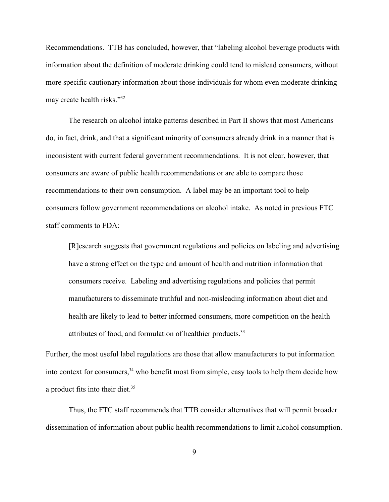Recommendations. TTB has concluded, however, that "labeling alcohol beverage products with information about the definition of moderate drinking could tend to mislead consumers, without more specific cautionary information about those individuals for whom even moderate drinking may create health risks."<sup>32</sup>

The research on alcohol intake patterns described in Part II shows that most Americans do, in fact, drink, and that a significant minority of consumers already drink in a manner that is inconsistent with current federal government recommendations. It is not clear, however, that consumers are aware of public health recommendations or are able to compare those recommendations to their own consumption. A label may be an important tool to help consumers follow government recommendations on alcohol intake. As noted in previous FTC staff comments to FDA:

[R]esearch suggests that government regulations and policies on labeling and advertising have a strong effect on the type and amount of health and nutrition information that consumers receive. Labeling and advertising regulations and policies that permit manufacturers to disseminate truthful and non-misleading information about diet and health are likely to lead to better informed consumers, more competition on the health attributes of food, and formulation of healthier products.<sup>33</sup>

Further, the most useful label regulations are those that allow manufacturers to put information into context for consumers,  $34$  who benefit most from simple, easy tools to help them decide how a product fits into their diet.<sup>35</sup>

Thus, the FTC staff recommends that TTB consider alternatives that will permit broader dissemination of information about public health recommendations to limit alcohol consumption.

9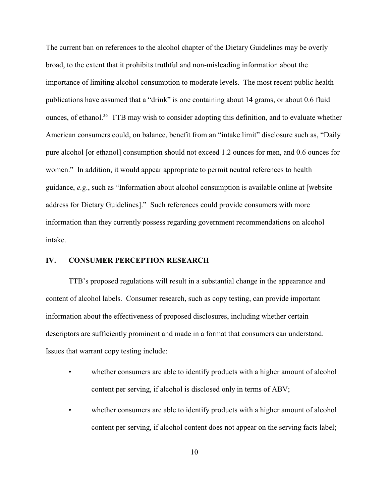The current ban on references to the alcohol chapter of the Dietary Guidelines may be overly broad, to the extent that it prohibits truthful and non-misleading information about the importance of limiting alcohol consumption to moderate levels. The most recent public health publications have assumed that a "drink" is one containing about 14 grams, or about 0.6 fluid ounces, of ethanol.<sup>36</sup> TTB may wish to consider adopting this definition, and to evaluate whether American consumers could, on balance, benefit from an "intake limit" disclosure such as, "Daily pure alcohol [or ethanol] consumption should not exceed 1.2 ounces for men, and 0.6 ounces for women." In addition, it would appear appropriate to permit neutral references to health guidance, *e.g*., such as "Information about alcohol consumption is available online at [website address for Dietary Guidelines]." Such references could provide consumers with more information than they currently possess regarding government recommendations on alcohol intake.

## **IV. CONSUMER PERCEPTION RESEARCH**

TTB's proposed regulations will result in a substantial change in the appearance and content of alcohol labels. Consumer research, such as copy testing, can provide important information about the effectiveness of proposed disclosures, including whether certain descriptors are sufficiently prominent and made in a format that consumers can understand. Issues that warrant copy testing include:

- whether consumers are able to identify products with a higher amount of alcohol content per serving, if alcohol is disclosed only in terms of ABV;
- whether consumers are able to identify products with a higher amount of alcohol content per serving, if alcohol content does not appear on the serving facts label;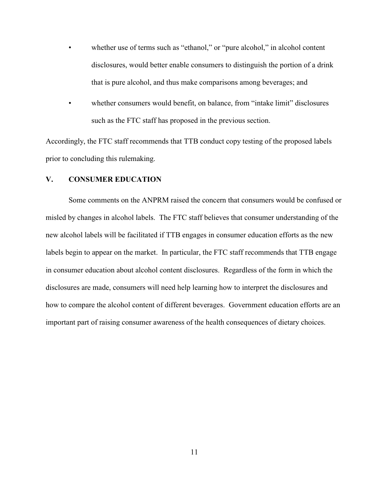- whether use of terms such as "ethanol," or "pure alcohol," in alcohol content disclosures, would better enable consumers to distinguish the portion of a drink that is pure alcohol, and thus make comparisons among beverages; and
- whether consumers would benefit, on balance, from "intake limit" disclosures such as the FTC staff has proposed in the previous section.

Accordingly, the FTC staff recommends that TTB conduct copy testing of the proposed labels prior to concluding this rulemaking.

## **V. CONSUMER EDUCATION**

Some comments on the ANPRM raised the concern that consumers would be confused or misled by changes in alcohol labels. The FTC staff believes that consumer understanding of the new alcohol labels will be facilitated if TTB engages in consumer education efforts as the new labels begin to appear on the market. In particular, the FTC staff recommends that TTB engage in consumer education about alcohol content disclosures. Regardless of the form in which the disclosures are made, consumers will need help learning how to interpret the disclosures and how to compare the alcohol content of different beverages. Government education efforts are an important part of raising consumer awareness of the health consequences of dietary choices.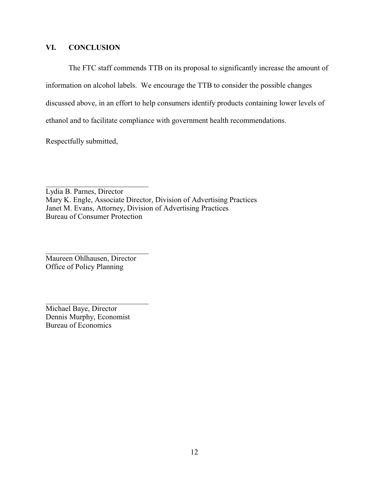## **VI. CONCLUSION**

The FTC staff commends TTB on its proposal to significantly increase the amount of information on alcohol labels. We encourage the TTB to consider the possible changes discussed above, in an effort to help consumers identify products containing lower levels of ethanol and to facilitate compliance with government health recommendations.

Respectfully submitted,

Lydia B. Parnes, Director Mary K. Engle, Associate Director, Division of Advertising Practices Janet M. Evans, Attorney, Division of Advertising Practices Bureau of Consumer Protection

Maureen Ohlhausen, Director Office of Policy Planning

\_\_\_\_\_\_\_\_\_\_\_\_\_\_\_\_\_\_\_\_\_\_\_\_\_\_\_

\_\_\_\_\_\_\_\_\_\_\_\_\_\_\_\_\_\_\_\_\_\_\_\_\_\_\_

Michael Baye, Director Dennis Murphy, Economist Bureau of Economics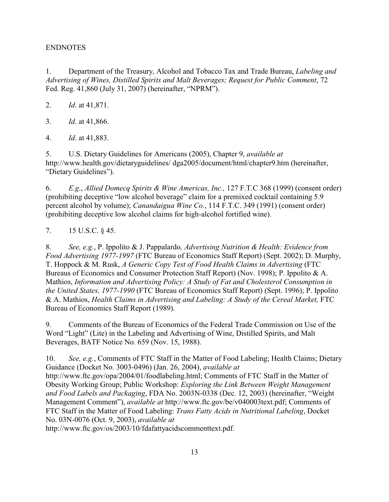# ENDNOTES

1. Department of the Treasury, Alcohol and Tobacco Tax and Trade Bureau, *Labeling and Advertising of Wines, Distilled Spirits and Malt Beverages; Request for Public Comment*, 72 Fed. Reg. 41,860 (July 31, 2007) (hereinafter, "NPRM").

2. *Id*. at 41,871.

3. *Id*. at 41,866.

4. *Id*. at 41,883.

5. U.S. Dietary Guidelines for Americans (2005), Chapter 9, *available at* http://www.health.gov/dietaryguidelines/ dga2005/document/html/chapter9.htm (hereinafter, "Dietary Guidelines").

6. *E.g*., *Allied Domecq Spirits & Wine Americas, Inc.,* 127 F.T.C 368 (1999) (consent order) (prohibiting deceptive "low alcohol beverage" claim for a premixed cocktail containing 5.9 percent alcohol by volume); *Canandaigua Wine Co.*, 114 F.T.C. 349 (1991) (consent order) (prohibiting deceptive low alcohol claims for high-alcohol fortified wine).

7. 15 U.S.C. § 45.

8. *See, e.g.*, P. Ippolito & J. Pappalardo*, Advertising Nutrition & Health: Evidence from Food Advertising 1977-1997* (FTC Bureau of Economics Staff Report) (Sept. 2002); D. Murphy, T. Hoppock & M. Rusk, *A Generic Copy Test of Food Health Claims in Advertising* (FTC Bureaus of Economics and Consumer Protection Staff Report) (Nov. 1998); P. Ippolito & A. Mathios, *Information and Advertising Policy: A Study of Fat and Cholesterol Consumption in the United States, 1977-1990* (FTC Bureau of Economics Staff Report) (Sept. 1996); P. Ippolito & A. Mathios, *Health Claims in Advertising and Labeling: A Study of the Cereal Market,* FTC Bureau of Economics Staff Report (1989).

9. Comments of the Bureau of Economics of the Federal Trade Commission on Use of the Word "Light" (Lite) in the Labeling and Advertising of Wine, Distilled Spirits, and Malt Beverages, BATF Notice No. 659 (Nov. 15, 1988).

10. *See, e.g.*, Comments of FTC Staff in the Matter of Food Labeling; Health Claims; Dietary Guidance (Docket No. 3003-0496) (Jan. 26, 2004), *available at* http://www.ftc.gov/opa/2004/01/foodlabeling.html; Comments of FTC Staff in the Matter of Obesity Working Group; Public Workshop: *Exploring the Link Between Weight Management and Food Labels and Packaging*, FDA No. 2003N-0338 (Dec. 12, 2003) (hereinafter, "Weight Management Comment"), *available at* http://www.ftc.gov/be/v040003text.pdf; Comments of FTC Staff in the Matter of Food Labeling: *Trans Fatty Acids in Nutritional Labeling*, Docket No. 03N-0076 (Oct. 9, 2003), *available at*

http://www.ftc.gov/os/2003/10/fdafattyacidscommenttext.pdf.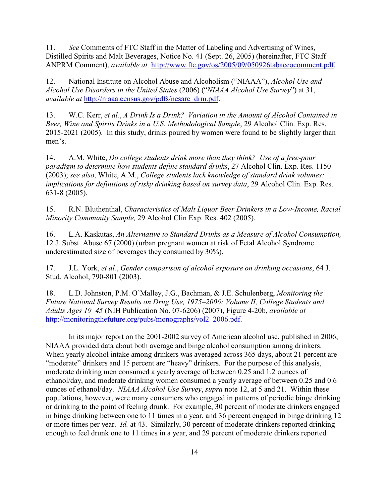11. *See* Comments of FTC Staff in the Matter of Labeling and Advertising of Wines, Distilled Spirits and Malt Beverages, Notice No. 41 (Sept. 26, 2005) (hereinafter, FTC Staff ANPRM Comment), *available at* <http://www.ftc.gov/os/2005/09/050926tabaccocomment.pdf>.

12. National Institute on Alcohol Abuse and Alcoholism ("NIAAA"), *Alcohol Use and Alcohol Use Disorders in the United States* (2006) ("*NIAAA Alcohol Use Survey*") at 31, *available at* [http://niaaa.census.gov/pdfs/nesarc\\_drm.pdf](http://niaaa.census.gov/pdfs/nesarc_drm.pdf).

13. W.C. Kerr, *et al.*, *A Drink Is a Drink? Variation in the Amount of Alcohol Contained in Beer, Wine and Spirits Drinks in a U.S. Methodological Sample*, 29 Alcohol Clin. Exp. Res. 2015-2021 (2005). In this study, drinks poured by women were found to be slightly larger than men's.

14. A.M. White, *Do college students drink more than they think? Use of a free-pour paradigm to determine how students define standard drinks*, 27 Alcohol Clin. Exp. Res. 1150 (2003); *see also*, White, A.M., *College students lack knowledge of standard drink volumes: implications for definitions of risky drinking based on survey data*, 29 Alcohol Clin. Exp. Res. 631-8 (2005).

15. R.N. Bluthenthal, *Characteristics of Malt Liquor Beer Drinkers in a Low-Income, Racial Minority Community Sample,* 29 Alcohol Clin Exp. Res. 402 (2005).

16. L.A. Kaskutas, *An Alternative to Standard Drinks as a Measure of Alcohol Consumption,* 12 J. Subst. Abuse 67 (2000) (urban pregnant women at risk of Fetal Alcohol Syndrome underestimated size of beverages they consumed by 30%).

17. J.L. York, *et al.*, *Gender comparison of alcohol exposure on drinking occasions*, 64 J. Stud. Alcohol, 790-801 (2003).

18. L.D. Johnston, P.M. O'Malley, J.G., Bachman, & J.E. Schulenberg, *Monitoring the Future National Survey Results on Drug Use, 1975*–*2006: Volume II, College Students and Adults Ages 19*–*45* (NIH Publication No. 07-6206) (2007), Figure 4-20b, *available at* [http://monitoringthefuture.org/pubs/monographs/vol2\\_2006.pdf.](http://monitoringthefuture.org/pubs/monographs/vol2_2006.pdf.)

In its major report on the 2001-2002 survey of American alcohol use, published in 2006, NIAAA provided data about both average and binge alcohol consumption among drinkers. When yearly alcohol intake among drinkers was averaged across 365 days, about 21 percent are "moderate" drinkers and 15 percent are "heavy" drinkers. For the purpose of this analysis, moderate drinking men consumed a yearly average of between 0.25 and 1.2 ounces of ethanol/day, and moderate drinking women consumed a yearly average of between 0.25 and 0.6 ounces of ethanol/day. *NIAAA Alcohol Use Survey*, *supra* note 12, at 5 and 21. Within these populations, however, were many consumers who engaged in patterns of periodic binge drinking or drinking to the point of feeling drunk. For example, 30 percent of moderate drinkers engaged in binge drinking between one to 11 times in a year, and 36 percent engaged in binge drinking 12 or more times per year. *Id.* at 43. Similarly, 30 percent of moderate drinkers reported drinking enough to feel drunk one to 11 times in a year, and 29 percent of moderate drinkers reported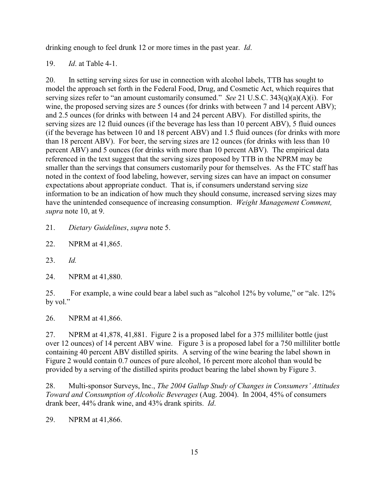drinking enough to feel drunk 12 or more times in the past year. *Id*.

19. *Id*. at Table 4-1.

20. In setting serving sizes for use in connection with alcohol labels, TTB has sought to model the approach set forth in the Federal Food, Drug, and Cosmetic Act, which requires that serving sizes refer to "an amount customarily consumed." *See* 21 U.S.C. 343(q)(a)(A)(i). For wine, the proposed serving sizes are 5 ounces (for drinks with between 7 and 14 percent ABV); and 2.5 ounces (for drinks with between 14 and 24 percent ABV). For distilled spirits, the serving sizes are 12 fluid ounces (if the beverage has less than 10 percent ABV), 5 fluid ounces (if the beverage has between 10 and 18 percent ABV) and 1.5 fluid ounces (for drinks with more than 18 percent ABV). For beer, the serving sizes are 12 ounces (for drinks with less than 10 percent ABV) and 5 ounces (for drinks with more than 10 percent ABV). The empirical data referenced in the text suggest that the serving sizes proposed by TTB in the NPRM may be smaller than the servings that consumers customarily pour for themselves. As the FTC staff has noted in the context of food labeling, however, serving sizes can have an impact on consumer expectations about appropriate conduct. That is, if consumers understand serving size information to be an indication of how much they should consume, increased serving sizes may have the unintended consequence of increasing consumption. *Weight Management Comment, supra* note 10, at 9.

21. *Dietary Guidelines*, *supra* note 5.

22. NPRM at 41,865.

23. *Id.*

24. NPRM at 41,880.

25. For example, a wine could bear a label such as "alcohol 12% by volume," or "alc. 12% by vol."

26. NPRM at 41,866.

27. NPRM at 41,878, 41,881. Figure 2 is a proposed label for a 375 milliliter bottle (just over 12 ounces) of 14 percent ABV wine. Figure 3 is a proposed label for a 750 milliliter bottle containing 40 percent ABV distilled spirits. A serving of the wine bearing the label shown in Figure 2 would contain 0.7 ounces of pure alcohol, 16 percent more alcohol than would be provided by a serving of the distilled spirits product bearing the label shown by Figure 3.

28. Multi-sponsor Surveys, Inc., *The 2004 Gallup Study of Changes in Consumers' Attitudes Toward and Consumption of Alcoholic Beverages* (Aug. 2004). In 2004, 45% of consumers drank beer, 44% drank wine, and 43% drank spirits. *Id*.

29. NPRM at 41,866.